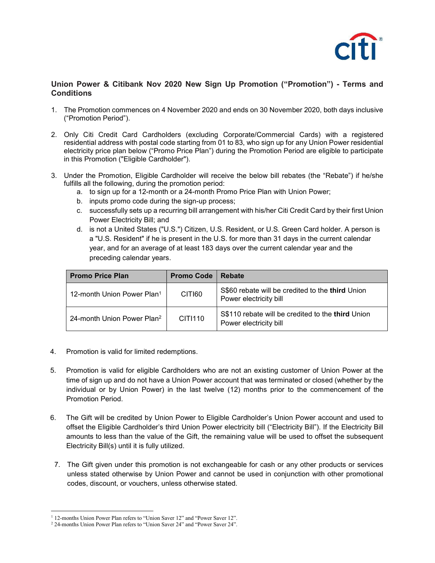

## Union Power & Citibank Nov 2020 New Sign Up Promotion ("Promotion") - Terms and **Conditions**

- 1. The Promotion commences on 4 November 2020 and ends on 30 November 2020, both days inclusive ("Promotion Period").
- 2. Only Citi Credit Card Cardholders (excluding Corporate/Commercial Cards) with a registered residential address with postal code starting from 01 to 83, who sign up for any Union Power residential electricity price plan below ("Promo Price Plan") during the Promotion Period are eligible to participate in this Promotion ("Eligible Cardholder").
- 3. Under the Promotion, Eligible Cardholder will receive the below bill rebates (the "Rebate") if he/she fulfills all the following, during the promotion period:
	- a. to sign up for a 12-month or a 24-month Promo Price Plan with Union Power;
	- b. inputs promo code during the sign-up process;
	- c. successfully sets up a recurring bill arrangement with his/her Citi Credit Card by their first Union Power Electricity Bill; and
	- d. is not a United States ("U.S.") Citizen, U.S. Resident, or U.S. Green Card holder. A person is a "U.S. Resident" if he is present in the U.S. for more than 31 days in the current calendar year, and for an average of at least 183 days over the current calendar year and the preceding calendar years.

| <b>Promo Price Plan</b>                | <b>Promo Code</b> | <b>Rebate</b>                                                               |
|----------------------------------------|-------------------|-----------------------------------------------------------------------------|
| 12-month Union Power Plan1             | CITI60            | S\$60 rebate will be credited to the third Union<br>Power electricity bill  |
| 24-month Union Power Plan <sup>2</sup> | CIT1110           | S\$110 rebate will be credited to the third Union<br>Power electricity bill |

- 4. Promotion is valid for limited redemptions.
- 5. Promotion is valid for eligible Cardholders who are not an existing customer of Union Power at the time of sign up and do not have a Union Power account that was terminated or closed (whether by the individual or by Union Power) in the last twelve (12) months prior to the commencement of the Promotion Period.
- 6. The Gift will be credited by Union Power to Eligible Cardholder's Union Power account and used to offset the Eligible Cardholder's third Union Power electricity bill ("Electricity Bill"). If the Electricity Bill amounts to less than the value of the Gift, the remaining value will be used to offset the subsequent Electricity Bill(s) until it is fully utilized.
- 7. The Gift given under this promotion is not exchangeable for cash or any other products or services unless stated otherwise by Union Power and cannot be used in conjunction with other promotional codes, discount, or vouchers, unless otherwise stated.

 <sup>1</sup> 12-months Union Power Plan refers to "Union Saver 12" and "Power Saver 12".

<sup>&</sup>lt;sup>2</sup> 24-months Union Power Plan refers to "Union Saver 24" and "Power Saver 24".